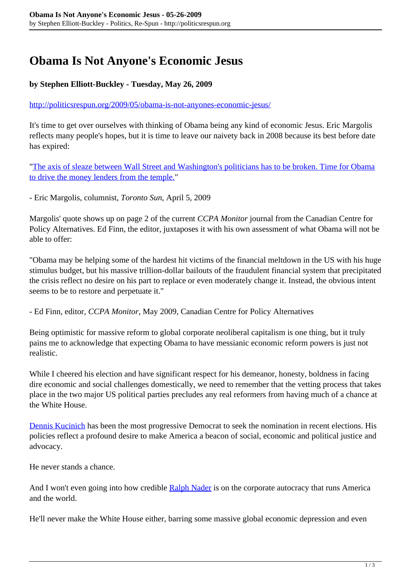## **Obama Is Not Anyone's Economic Jesus**

## **by Stephen Elliott-Buckley - Tuesday, May 26, 2009**

<http://politicsrespun.org/2009/05/obama-is-not-anyones-economic-jesus/>

It's time to get over ourselves with thinking of Obama being any kind of economic Jesus. Eric Margolis reflects many people's hopes, but it is time to leave our naivety back in 2008 because its best before date has expired:

["The axis of sleaze between Wall Street and Washington's politicians has to be broken. Time for Obama](http://www.torontosun.com/comment/columnists/eric_margolis/2009/04/05/9009691-sun.html) [to drive the money lenders from the temple.](http://www.torontosun.com/comment/columnists/eric_margolis/2009/04/05/9009691-sun.html)"

- Eric Margolis, columnist, *Toronto Sun*, April 5, 2009

Margolis' quote shows up on page 2 of the current *CCPA Monitor* journal from the Canadian Centre for Policy Alternatives. Ed Finn, the editor, juxtaposes it with his own assessment of what Obama will not be able to offer:

"Obama may be helping some of the hardest hit victims of the financial meltdown in the US with his huge stimulus budget, but his massive trillion-dollar bailouts of the fraudulent financial system that precipitated the crisis reflect no desire on his part to replace or even moderately change it. Instead, the obvious intent seems to be to restore and perpetuate it."

- Ed Finn, editor, *CCPA Monitor*, May 2009, Canadian Centre for Policy Alternatives

Being optimistic for massive reform to global corporate neoliberal capitalism is one thing, but it truly pains me to acknowledge that expecting Obama to have messianic economic reform powers is just not realistic.

While I cheered his election and have significant respect for his demeanor, honesty, boldness in facing dire economic and social challenges domestically, we need to remember that the vetting process that takes place in the two major US political parties precludes any real reformers from having much of a chance at the White House.

[Dennis Kucinich](http://kucinich.us/) has been the most progressive Democrat to seek the nomination in recent elections. His policies reflect a profound desire to make America a beacon of social, economic and political justice and advocacy.

He never stands a chance.

And I won't even going into how credible [Ralph Nader](http://www.votenader.org/) is on the corporate autocracy that runs America and the world.

He'll never make the White House either, barring some massive global economic depression and even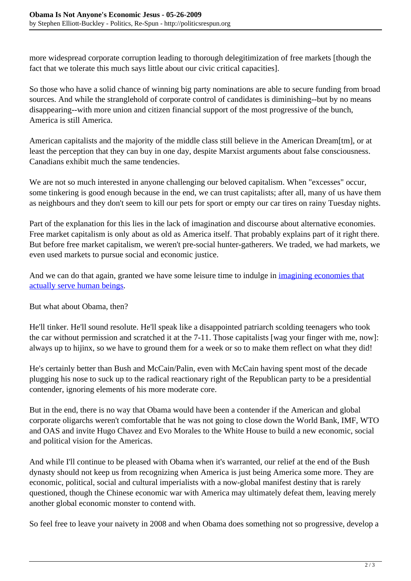more widespread corporate corruption leading to thorough delegitimization of free markets [though the fact that we tolerate this much says little about our civic critical capacities].

So those who have a solid chance of winning big party nominations are able to secure funding from broad sources. And while the stranglehold of corporate control of candidates is diminishing--but by no means disappearing--with more union and citizen financial support of the most progressive of the bunch, America is still America.

American capitalists and the majority of the middle class still believe in the American Dream[tm], or at least the perception that they can buy in one day, despite Marxist arguments about false consciousness. Canadians exhibit much the same tendencies.

We are not so much interested in anyone challenging our beloved capitalism. When "excesses" occur, some tinkering is good enough because in the end, we can trust capitalists; after all, many of us have them as neighbours and they don't seem to kill our pets for sport or empty our car tires on rainy Tuesday nights.

Part of the explanation for this lies in the lack of imagination and discourse about alternative economies. Free market capitalism is only about as old as America itself. That probably explains part of it right there. But before free market capitalism, we weren't pre-social hunter-gatherers. We traded, we had markets, we even used markets to pursue social and economic justice.

And we can do that again, granted we have some leisure time to indulge in *[imagining economies that](http://politicsrespun.org/2009/02/cultivating-economic-imagination/)* [actually serve human beings.](http://politicsrespun.org/2009/02/cultivating-economic-imagination/)

But what about Obama, then?

He'll tinker. He'll sound resolute. He'll speak like a disappointed patriarch scolding teenagers who took the car without permission and scratched it at the 7-11. Those capitalists [wag your finger with me, now]: always up to hijinx, so we have to ground them for a week or so to make them reflect on what they did!

He's certainly better than Bush and McCain/Palin, even with McCain having spent most of the decade plugging his nose to suck up to the radical reactionary right of the Republican party to be a presidential contender, ignoring elements of his more moderate core.

But in the end, there is no way that Obama would have been a contender if the American and global corporate oligarchs weren't comfortable that he was not going to close down the World Bank, IMF, WTO and OAS and invite Hugo Chavez and Evo Morales to the White House to build a new economic, social and political vision for the Americas.

And while I'll continue to be pleased with Obama when it's warranted, our relief at the end of the Bush dynasty should not keep us from recognizing when America is just being America some more. They are economic, political, social and cultural imperialists with a now-global manifest destiny that is rarely questioned, though the Chinese economic war with America may ultimately defeat them, leaving merely another global economic monster to contend with.

So feel free to leave your naivety in 2008 and when Obama does something not so progressive, develop a